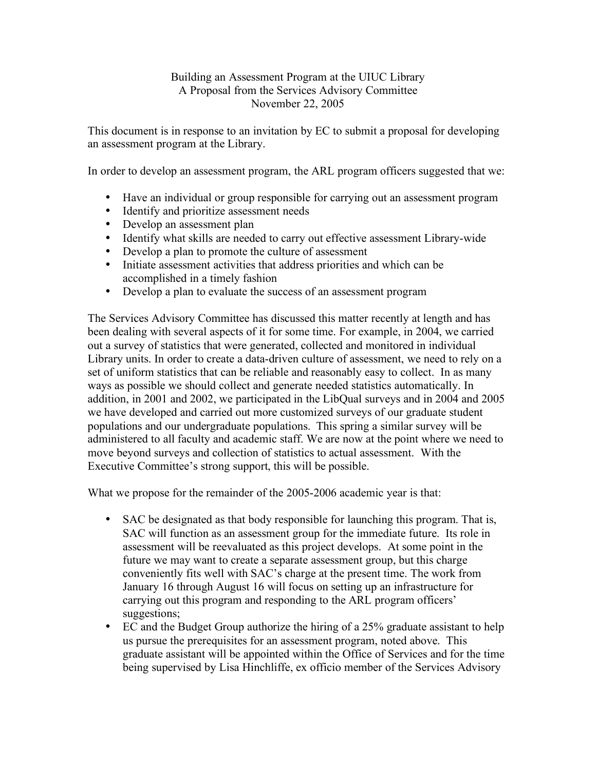## Building an Assessment Program at the UIUC Library A Proposal from the Services Advisory Committee November 22, 2005

This document is in response to an invitation by EC to submit a proposal for developing an assessment program at the Library.

In order to develop an assessment program, the ARL program officers suggested that we:

- Have an individual or group responsible for carrying out an assessment program
- Identify and prioritize assessment needs
- Develop an assessment plan
- Identify what skills are needed to carry out effective assessment Library-wide
- Develop a plan to promote the culture of assessment
- Initiate assessment activities that address priorities and which can be accomplished in a timely fashion
- Develop a plan to evaluate the success of an assessment program

The Services Advisory Committee has discussed this matter recently at length and has been dealing with several aspects of it for some time. For example, in 2004, we carried out a survey of statistics that were generated, collected and monitored in individual Library units. In order to create a data-driven culture of assessment, we need to rely on a set of uniform statistics that can be reliable and reasonably easy to collect. In as many ways as possible we should collect and generate needed statistics automatically. In addition, in 2001 and 2002, we participated in the LibQual surveys and in 2004 and 2005 we have developed and carried out more customized surveys of our graduate student populations and our undergraduate populations. This spring a similar survey will be administered to all faculty and academic staff. We are now at the point where we need to move beyond surveys and collection of statistics to actual assessment. With the Executive Committee's strong support, this will be possible.

What we propose for the remainder of the 2005-2006 academic year is that:

- SAC be designated as that body responsible for launching this program. That is, SAC will function as an assessment group for the immediate future. Its role in assessment will be reevaluated as this project develops. At some point in the future we may want to create a separate assessment group, but this charge conveniently fits well with SAC's charge at the present time. The work from January 16 through August 16 will focus on setting up an infrastructure for carrying out this program and responding to the ARL program officers' suggestions;
- EC and the Budget Group authorize the hiring of a 25% graduate assistant to help us pursue the prerequisites for an assessment program, noted above. This graduate assistant will be appointed within the Office of Services and for the time being supervised by Lisa Hinchliffe, ex officio member of the Services Advisory